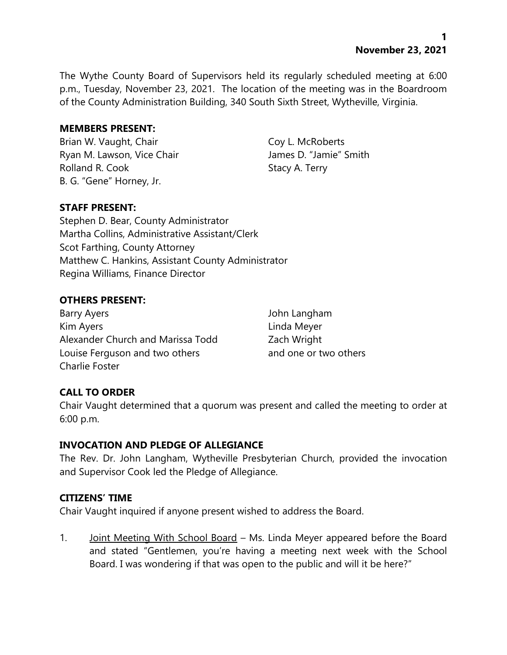**1 November 23, 2021**

The Wythe County Board of Supervisors held its regularly scheduled meeting at 6:00 p.m., Tuesday, November 23, 2021. The location of the meeting was in the Boardroom of the County Administration Building, 340 South Sixth Street, Wytheville, Virginia.

### **MEMBERS PRESENT:**

Brian W. Vaught, Chair Coy L. McRoberts Ryan M. Lawson, Vice Chair **James D. "Jamie"** Smith Rolland R. Cook Stacy A. Terry B. G. "Gene" Horney, Jr.

## **STAFF PRESENT:**

Stephen D. Bear, County Administrator Martha Collins, Administrative Assistant/Clerk Scot Farthing, County Attorney Matthew C. Hankins, Assistant County Administrator Regina Williams, Finance Director

## **OTHERS PRESENT:**

Barry Ayers **Barry Ayers John Langham** Kim Ayers **Linda Meyer** Alexander Church and Marissa Todd Zach Wright Louise Ferguson and two others and one or two others Charlie Foster

## **CALL TO ORDER**

Chair Vaught determined that a quorum was present and called the meeting to order at 6:00 p.m.

#### **INVOCATION AND PLEDGE OF ALLEGIANCE**

The Rev. Dr. John Langham, Wytheville Presbyterian Church, provided the invocation and Supervisor Cook led the Pledge of Allegiance.

#### **CITIZENS' TIME**

Chair Vaught inquired if anyone present wished to address the Board.

1. Joint Meeting With School Board – Ms. Linda Meyer appeared before the Board and stated "Gentlemen, you're having a meeting next week with the School Board. I was wondering if that was open to the public and will it be here?"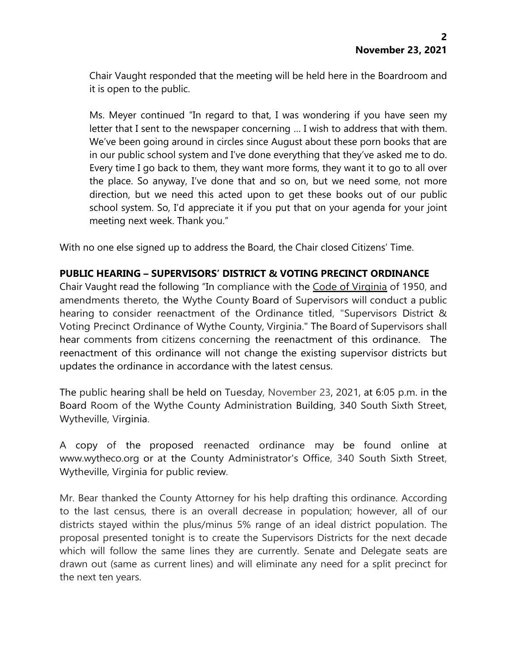Chair Vaught responded that the meeting will be held here in the Boardroom and it is open to the public.

Ms. Meyer continued "In regard to that, I was wondering if you have seen my letter that I sent to the newspaper concerning … I wish to address that with them. We've been going around in circles since August about these porn books that are in our public school system and I've done everything that they've asked me to do. Every time I go back to them, they want more forms, they want it to go to all over the place. So anyway, I've done that and so on, but we need some, not more direction, but we need this acted upon to get these books out of our public school system. So, I'd appreciate it if you put that on your agenda for your joint meeting next week. Thank you."

With no one else signed up to address the Board, the Chair closed Citizens' Time.

## **PUBLIC HEARING – SUPERVISORS' DISTRICT & VOTING PRECINCT ORDINANCE**

Chair Vaught read the following "In compliance with the Code of Virginia of 1950, and amendments thereto, the Wythe County Board of Supervisors will conduct a public hearing to consider reenactment of the Ordinance titled, "Supervisors District & Voting Precinct Ordinance of Wythe County, Virginia." The Board of Supervisors shall hear comments from citizens concerning the reenactment of this ordinance. The reenactment of this ordinance will not change the existing supervisor districts but updates the ordinance in accordance with the latest census.

The public hearing shall be held on Tuesday, November 23, 2021, at 6:05 p.m. in the Board Room of the Wythe County Administration Building, 340 South Sixth Street, Wytheville, Virginia.

A copy of the proposed reenacted ordinance may be found online at [www.wytheco.org](http://www.wytheco.org/) or at the County Administrator's Office, 340 South Sixth Street, Wytheville, Virginia for public review.

Mr. Bear thanked the County Attorney for his help drafting this ordinance. According to the last census, there is an overall decrease in population; however, all of our districts stayed within the plus/minus 5% range of an ideal district population. The proposal presented tonight is to create the Supervisors Districts for the next decade which will follow the same lines they are currently. Senate and Delegate seats are drawn out (same as current lines) and will eliminate any need for a split precinct for the next ten years.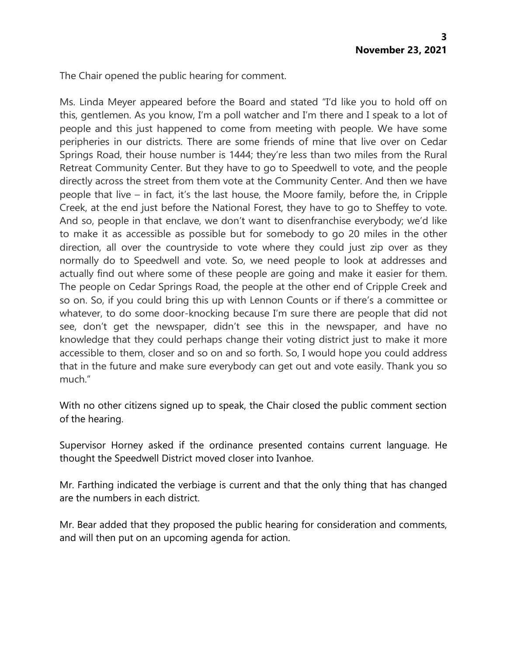The Chair opened the public hearing for comment.

Ms. Linda Meyer appeared before the Board and stated "I'd like you to hold off on this, gentlemen. As you know, I'm a poll watcher and I'm there and I speak to a lot of people and this just happened to come from meeting with people. We have some peripheries in our districts. There are some friends of mine that live over on Cedar Springs Road, their house number is 1444; they're less than two miles from the Rural Retreat Community Center. But they have to go to Speedwell to vote, and the people directly across the street from them vote at the Community Center. And then we have people that live – in fact, it's the last house, the Moore family, before the, in Cripple Creek, at the end just before the National Forest, they have to go to Sheffey to vote. And so, people in that enclave, we don't want to disenfranchise everybody; we'd like to make it as accessible as possible but for somebody to go 20 miles in the other direction, all over the countryside to vote where they could just zip over as they normally do to Speedwell and vote. So, we need people to look at addresses and actually find out where some of these people are going and make it easier for them. The people on Cedar Springs Road, the people at the other end of Cripple Creek and so on. So, if you could bring this up with Lennon Counts or if there's a committee or whatever, to do some door-knocking because I'm sure there are people that did not see, don't get the newspaper, didn't see this in the newspaper, and have no knowledge that they could perhaps change their voting district just to make it more accessible to them, closer and so on and so forth. So, I would hope you could address that in the future and make sure everybody can get out and vote easily. Thank you so much."

With no other citizens signed up to speak, the Chair closed the public comment section of the hearing.

Supervisor Horney asked if the ordinance presented contains current language. He thought the Speedwell District moved closer into Ivanhoe.

Mr. Farthing indicated the verbiage is current and that the only thing that has changed are the numbers in each district.

Mr. Bear added that they proposed the public hearing for consideration and comments, and will then put on an upcoming agenda for action.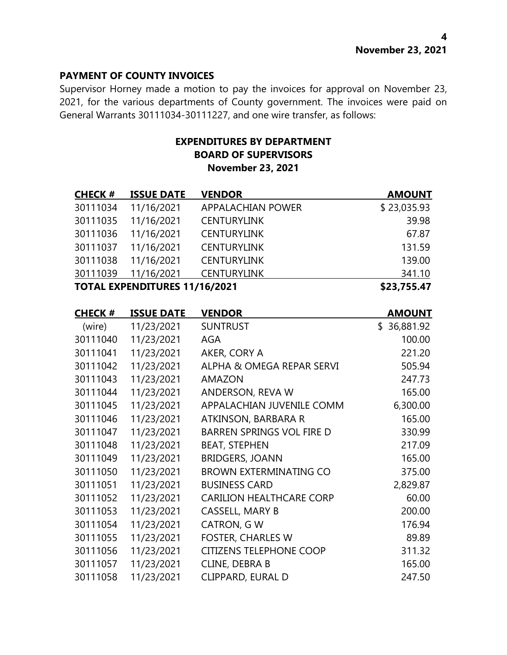### **PAYMENT OF COUNTY INVOICES**

Supervisor Horney made a motion to pay the invoices for approval on November 23, 2021, for the various departments of County government. The invoices were paid on General Warrants 30111034-30111227, and one wire transfer, as follows:

## **EXPENDITURES BY DEPARTMENT BOARD OF SUPERVISORS November 23, 2021**

| <b>CHECK#</b> | <b>ISSUE DATE</b>                    | <b>VENDOR</b>                    | <b>AMOUNT</b> |
|---------------|--------------------------------------|----------------------------------|---------------|
| 30111034      | 11/16/2021                           | <b>APPALACHIAN POWER</b>         | \$23,035.93   |
| 30111035      | 11/16/2021                           | <b>CENTURYLINK</b>               | 39.98         |
| 30111036      | 11/16/2021                           | <b>CENTURYLINK</b>               | 67.87         |
| 30111037      | 11/16/2021                           | <b>CENTURYLINK</b>               | 131.59        |
| 30111038      | 11/16/2021                           | <b>CENTURYLINK</b>               | 139.00        |
| 30111039      | 11/16/2021                           | <b>CENTURYLINK</b>               | 341.10        |
|               | <b>TOTAL EXPENDITURES 11/16/2021</b> |                                  | \$23,755.47   |
| <b>CHECK#</b> | <b>ISSUE DATE</b>                    | <b>VENDOR</b>                    | <b>AMOUNT</b> |
| (wire)        | 11/23/2021                           | <b>SUNTRUST</b>                  | \$36,881.92   |
| 30111040      | 11/23/2021                           | <b>AGA</b>                       | 100.00        |
| 30111041      | 11/23/2021                           | AKER, CORY A                     | 221.20        |
| 30111042      | 11/23/2021                           | ALPHA & OMEGA REPAR SERVI        | 505.94        |
| 30111043      | 11/23/2021                           | <b>AMAZON</b>                    | 247.73        |
| 30111044      | 11/23/2021                           | ANDERSON, REVA W                 | 165.00        |
| 30111045      | 11/23/2021                           | APPALACHIAN JUVENILE COMM        | 6,300.00      |
| 30111046      | 11/23/2021                           | ATKINSON, BARBARA R              | 165.00        |
| 30111047      | 11/23/2021                           | <b>BARREN SPRINGS VOL FIRE D</b> | 330.99        |
| 30111048      | 11/23/2021                           | <b>BEAT, STEPHEN</b>             | 217.09        |
| 30111049      | 11/23/2021                           | <b>BRIDGERS, JOANN</b>           | 165.00        |
| 30111050      | 11/23/2021                           | <b>BROWN EXTERMINATING CO</b>    | 375.00        |
| 30111051      | 11/23/2021                           | <b>BUSINESS CARD</b>             | 2,829.87      |
| 30111052      | 11/23/2021                           | <b>CARILION HEALTHCARE CORP</b>  | 60.00         |
| 30111053      | 11/23/2021                           | <b>CASSELL, MARY B</b>           | 200.00        |
| 30111054      | 11/23/2021                           | <b>CATRON, GW</b>                | 176.94        |
| 30111055      | 11/23/2021                           | <b>FOSTER, CHARLES W</b>         | 89.89         |
| 30111056      | 11/23/2021                           | <b>CITIZENS TELEPHONE COOP</b>   | 311.32        |

30111057 11/23/2021 CLINE, DEBRA B 165.00 11/23/2021 CLIPPARD, EURAL D 247.50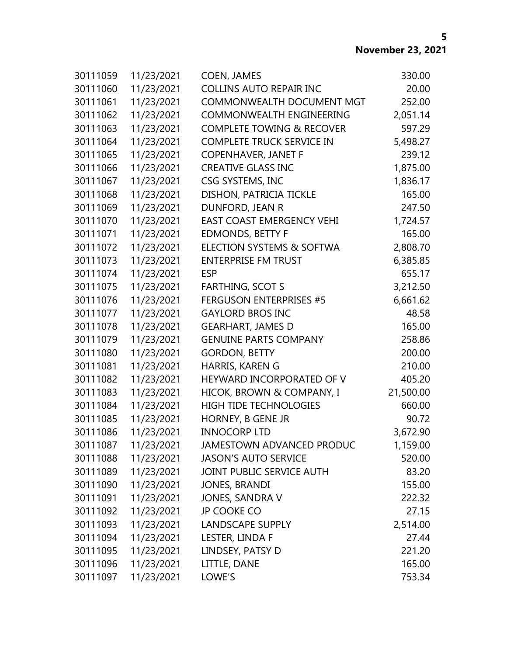| 30111059 | 11/23/2021 | <b>COEN, JAMES</b>                   | 330.00    |
|----------|------------|--------------------------------------|-----------|
| 30111060 | 11/23/2021 | <b>COLLINS AUTO REPAIR INC</b>       | 20.00     |
| 30111061 | 11/23/2021 | <b>COMMONWEALTH DOCUMENT MGT</b>     | 252.00    |
| 30111062 | 11/23/2021 | COMMONWEALTH ENGINEERING             | 2,051.14  |
| 30111063 | 11/23/2021 | <b>COMPLETE TOWING &amp; RECOVER</b> | 597.29    |
| 30111064 | 11/23/2021 | <b>COMPLETE TRUCK SERVICE IN</b>     | 5,498.27  |
| 30111065 | 11/23/2021 | <b>COPENHAVER, JANET F</b>           | 239.12    |
| 30111066 | 11/23/2021 | <b>CREATIVE GLASS INC</b>            | 1,875.00  |
| 30111067 | 11/23/2021 | CSG SYSTEMS, INC                     | 1,836.17  |
| 30111068 | 11/23/2021 | DISHON, PATRICIA TICKLE              | 165.00    |
| 30111069 | 11/23/2021 | DUNFORD, JEAN R                      | 247.50    |
| 30111070 | 11/23/2021 | <b>EAST COAST EMERGENCY VEHI</b>     | 1,724.57  |
| 30111071 | 11/23/2021 | <b>EDMONDS, BETTY F</b>              | 165.00    |
| 30111072 | 11/23/2021 | <b>ELECTION SYSTEMS &amp; SOFTWA</b> | 2,808.70  |
| 30111073 | 11/23/2021 | <b>ENTERPRISE FM TRUST</b>           | 6,385.85  |
| 30111074 | 11/23/2021 | <b>ESP</b>                           | 655.17    |
| 30111075 | 11/23/2021 | <b>FARTHING, SCOT S</b>              | 3,212.50  |
| 30111076 | 11/23/2021 | <b>FERGUSON ENTERPRISES #5</b>       | 6,661.62  |
| 30111077 | 11/23/2021 | <b>GAYLORD BROS INC</b>              | 48.58     |
| 30111078 | 11/23/2021 | <b>GEARHART, JAMES D</b>             | 165.00    |
| 30111079 | 11/23/2021 | <b>GENUINE PARTS COMPANY</b>         | 258.86    |
| 30111080 | 11/23/2021 | <b>GORDON, BETTY</b>                 | 200.00    |
| 30111081 | 11/23/2021 | HARRIS, KAREN G                      | 210.00    |
| 30111082 | 11/23/2021 | HEYWARD INCORPORATED OF V            | 405.20    |
| 30111083 | 11/23/2021 | HICOK, BROWN & COMPANY, I            | 21,500.00 |
| 30111084 | 11/23/2021 | <b>HIGH TIDE TECHNOLOGIES</b>        | 660.00    |
| 30111085 | 11/23/2021 | HORNEY, B GENE JR                    | 90.72     |
| 30111086 | 11/23/2021 | <b>INNOCORP LTD</b>                  | 3,672.90  |
| 30111087 | 11/23/2021 | <b>JAMESTOWN ADVANCED PRODUC</b>     | 1,159.00  |
| 30111088 | 11/23/2021 | <b>JASON'S AUTO SERVICE</b>          | 520.00    |
| 30111089 | 11/23/2021 | JOINT PUBLIC SERVICE AUTH            | 83.20     |
| 30111090 | 11/23/2021 | <b>JONES, BRANDI</b>                 | 155.00    |
| 30111091 | 11/23/2021 | JONES, SANDRA V                      | 222.32    |
| 30111092 | 11/23/2021 | <b>JP COOKE CO</b>                   | 27.15     |
| 30111093 | 11/23/2021 | <b>LANDSCAPE SUPPLY</b>              | 2,514.00  |
| 30111094 | 11/23/2021 | LESTER, LINDA F                      | 27.44     |
| 30111095 | 11/23/2021 | LINDSEY, PATSY D                     | 221.20    |
| 30111096 | 11/23/2021 | LITTLE, DANE                         | 165.00    |
| 30111097 | 11/23/2021 | LOWE'S                               | 753.34    |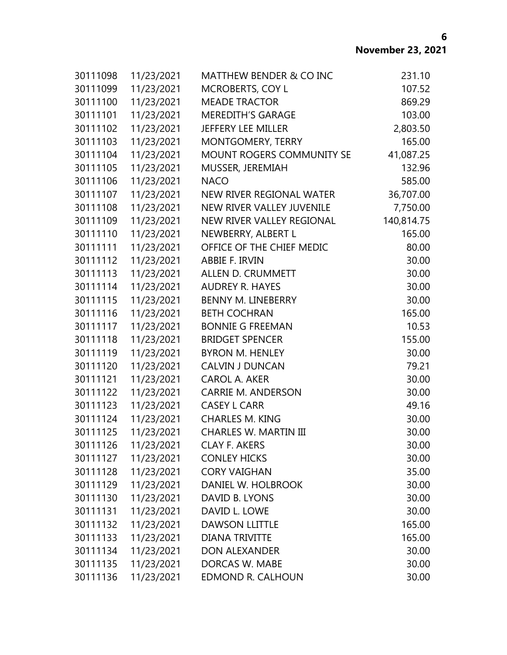| 30111098 | 11/23/2021 | <b>MATTHEW BENDER &amp; CO INC</b> | 231.10     |
|----------|------------|------------------------------------|------------|
| 30111099 | 11/23/2021 | MCROBERTS, COY L                   | 107.52     |
| 30111100 | 11/23/2021 | <b>MEADE TRACTOR</b>               | 869.29     |
| 30111101 | 11/23/2021 | <b>MEREDITH'S GARAGE</b>           | 103.00     |
| 30111102 | 11/23/2021 | JEFFERY LEE MILLER                 | 2,803.50   |
| 30111103 | 11/23/2021 | MONTGOMERY, TERRY                  | 165.00     |
| 30111104 | 11/23/2021 | MOUNT ROGERS COMMUNITY SE          | 41,087.25  |
| 30111105 | 11/23/2021 | MUSSER, JEREMIAH                   | 132.96     |
| 30111106 | 11/23/2021 | <b>NACO</b>                        | 585.00     |
| 30111107 | 11/23/2021 | NEW RIVER REGIONAL WATER           | 36,707.00  |
| 30111108 | 11/23/2021 | NEW RIVER VALLEY JUVENILE          | 7,750.00   |
| 30111109 | 11/23/2021 | NEW RIVER VALLEY REGIONAL          | 140,814.75 |
| 30111110 | 11/23/2021 | NEWBERRY, ALBERT L                 | 165.00     |
| 30111111 | 11/23/2021 | OFFICE OF THE CHIEF MEDIC          | 80.00      |
| 30111112 | 11/23/2021 | ABBIE F. IRVIN                     | 30.00      |
| 30111113 | 11/23/2021 | <b>ALLEN D. CRUMMETT</b>           | 30.00      |
| 30111114 | 11/23/2021 | <b>AUDREY R. HAYES</b>             | 30.00      |
| 30111115 | 11/23/2021 | BENNY M. LINEBERRY                 | 30.00      |
| 30111116 | 11/23/2021 | <b>BETH COCHRAN</b>                | 165.00     |
| 30111117 | 11/23/2021 | <b>BONNIE G FREEMAN</b>            | 10.53      |
| 30111118 | 11/23/2021 | <b>BRIDGET SPENCER</b>             | 155.00     |
| 30111119 | 11/23/2021 | <b>BYRON M. HENLEY</b>             | 30.00      |
| 30111120 | 11/23/2021 | <b>CALVIN J DUNCAN</b>             | 79.21      |
| 30111121 | 11/23/2021 | CAROL A. AKER                      | 30.00      |
| 30111122 | 11/23/2021 | <b>CARRIE M. ANDERSON</b>          | 30.00      |
| 30111123 | 11/23/2021 | <b>CASEY L CARR</b>                | 49.16      |
| 30111124 | 11/23/2021 | <b>CHARLES M. KING</b>             | 30.00      |
| 30111125 | 11/23/2021 | <b>CHARLES W. MARTIN III</b>       | 30.00      |
| 30111126 | 11/23/2021 | <b>CLAY F. AKERS</b>               | 30.00      |
| 30111127 | 11/23/2021 | <b>CONLEY HICKS</b>                | 30.00      |
| 30111128 | 11/23/2021 | <b>CORY VAIGHAN</b>                | 35.00      |
| 30111129 | 11/23/2021 | DANIEL W. HOLBROOK                 | 30.00      |
| 30111130 | 11/23/2021 | DAVID B. LYONS                     | 30.00      |
| 30111131 | 11/23/2021 | DAVID L. LOWE                      | 30.00      |
| 30111132 | 11/23/2021 | <b>DAWSON LLITTLE</b>              | 165.00     |
| 30111133 | 11/23/2021 | <b>DIANA TRIVITTE</b>              | 165.00     |
| 30111134 | 11/23/2021 | <b>DON ALEXANDER</b>               | 30.00      |
| 30111135 | 11/23/2021 | DORCAS W. MABE                     | 30.00      |
| 30111136 | 11/23/2021 | <b>EDMOND R. CALHOUN</b>           | 30.00      |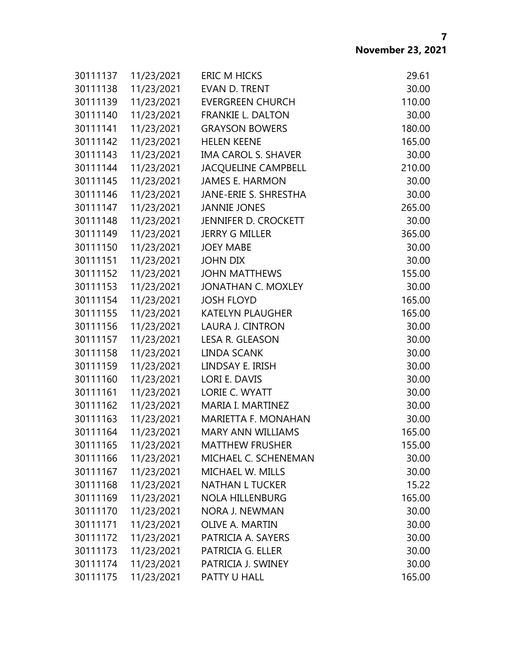| 30111137 | 11/23/2021 | <b>ERIC M HICKS</b>        | 29.61  |
|----------|------------|----------------------------|--------|
| 30111138 | 11/23/2021 | <b>EVAN D. TRENT</b>       | 30.00  |
| 30111139 | 11/23/2021 | <b>EVERGREEN CHURCH</b>    | 110.00 |
| 30111140 | 11/23/2021 | <b>FRANKIE L. DALTON</b>   | 30.00  |
| 30111141 | 11/23/2021 | <b>GRAYSON BOWERS</b>      | 180.00 |
| 30111142 | 11/23/2021 | <b>HELEN KEENE</b>         | 165.00 |
| 30111143 | 11/23/2021 | <b>IMA CAROL S. SHAVER</b> | 30.00  |
| 30111144 | 11/23/2021 | <b>JACQUELINE CAMPBELL</b> | 210.00 |
| 30111145 | 11/23/2021 | <b>JAMES E. HARMON</b>     | 30.00  |
| 30111146 | 11/23/2021 | JANE-ERIE S. SHRESTHA      | 30.00  |
| 30111147 | 11/23/2021 | <b>JANNIE JONES</b>        | 265.00 |
| 30111148 | 11/23/2021 | JENNIFER D. CROCKETT       | 30.00  |
| 30111149 | 11/23/2021 | <b>JERRY G MILLER</b>      | 365.00 |
| 30111150 | 11/23/2021 | <b>JOEY MABE</b>           | 30.00  |
| 30111151 | 11/23/2021 | <b>JOHN DIX</b>            | 30.00  |
| 30111152 | 11/23/2021 | <b>JOHN MATTHEWS</b>       | 155.00 |
| 30111153 | 11/23/2021 | <b>JONATHAN C. MOXLEY</b>  | 30.00  |
| 30111154 | 11/23/2021 | <b>JOSH FLOYD</b>          | 165.00 |
| 30111155 | 11/23/2021 | <b>KATELYN PLAUGHER</b>    | 165.00 |
| 30111156 | 11/23/2021 | LAURA J. CINTRON           | 30.00  |
| 30111157 | 11/23/2021 | LESA R. GLEASON            | 30.00  |
| 30111158 | 11/23/2021 | LINDA SCANK                | 30.00  |
| 30111159 | 11/23/2021 | LINDSAY E. IRISH           | 30.00  |
| 30111160 | 11/23/2021 | LORI E. DAVIS              | 30.00  |
| 30111161 | 11/23/2021 | LORIE C. WYATT             | 30.00  |
| 30111162 | 11/23/2021 | MARIA I. MARTINEZ          | 30.00  |
| 30111163 | 11/23/2021 | <b>MARIETTA F. MONAHAN</b> | 30.00  |
| 30111164 | 11/23/2021 | <b>MARY ANN WILLIAMS</b>   | 165.00 |
| 30111165 | 11/23/2021 | <b>MATTHEW FRUSHER</b>     | 155.00 |
| 30111166 | 11/23/2021 | MICHAEL C. SCHENEMAN       | 30.00  |
| 30111167 | 11/23/2021 | MICHAEL W. MILLS           | 30.00  |
| 30111168 | 11/23/2021 | <b>NATHAN L TUCKER</b>     | 15.22  |
| 30111169 | 11/23/2021 | <b>NOLA HILLENBURG</b>     | 165.00 |
| 30111170 | 11/23/2021 | <b>NORA J. NEWMAN</b>      | 30.00  |
| 30111171 | 11/23/2021 | OLIVE A. MARTIN            | 30.00  |
| 30111172 | 11/23/2021 | PATRICIA A. SAYERS         | 30.00  |
| 30111173 | 11/23/2021 | PATRICIA G. ELLER          | 30.00  |
| 30111174 | 11/23/2021 | PATRICIA J. SWINEY         | 30.00  |
| 30111175 | 11/23/2021 | PATTY U HALL               | 165.00 |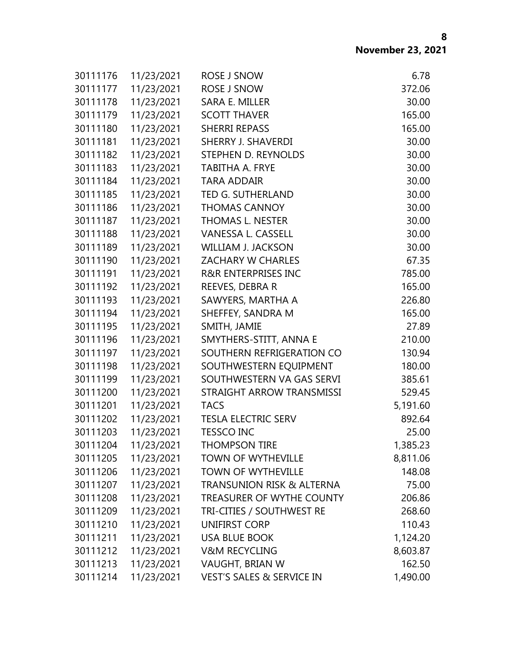| 30111176 | 11/23/2021 | ROSE J SNOW                          | 6.78     |
|----------|------------|--------------------------------------|----------|
| 30111177 | 11/23/2021 | <b>ROSE J SNOW</b>                   | 372.06   |
| 30111178 | 11/23/2021 | SARA E. MILLER                       | 30.00    |
| 30111179 | 11/23/2021 | <b>SCOTT THAVER</b>                  | 165.00   |
| 30111180 | 11/23/2021 | <b>SHERRI REPASS</b>                 | 165.00   |
| 30111181 | 11/23/2021 | SHERRY J. SHAVERDI                   | 30.00    |
| 30111182 | 11/23/2021 | STEPHEN D. REYNOLDS                  | 30.00    |
| 30111183 | 11/23/2021 | <b>TABITHA A. FRYE</b>               | 30.00    |
| 30111184 | 11/23/2021 | <b>TARA ADDAIR</b>                   | 30.00    |
| 30111185 | 11/23/2021 | TED G. SUTHERLAND                    | 30.00    |
| 30111186 | 11/23/2021 | <b>THOMAS CANNOY</b>                 | 30.00    |
| 30111187 | 11/23/2021 | THOMAS L. NESTER                     | 30.00    |
| 30111188 | 11/23/2021 | VANESSA L. CASSELL                   | 30.00    |
| 30111189 | 11/23/2021 | <b>WILLIAM J. JACKSON</b>            | 30.00    |
| 30111190 | 11/23/2021 | <b>ZACHARY W CHARLES</b>             | 67.35    |
| 30111191 | 11/23/2021 | <b>R&amp;R ENTERPRISES INC</b>       | 785.00   |
| 30111192 | 11/23/2021 | REEVES, DEBRA R                      | 165.00   |
| 30111193 | 11/23/2021 | SAWYERS, MARTHA A                    | 226.80   |
| 30111194 | 11/23/2021 | SHEFFEY, SANDRA M                    | 165.00   |
| 30111195 | 11/23/2021 | SMITH, JAMIE                         | 27.89    |
| 30111196 | 11/23/2021 | SMYTHERS-STITT, ANNA E               | 210.00   |
| 30111197 | 11/23/2021 | SOUTHERN REFRIGERATION CO            | 130.94   |
| 30111198 | 11/23/2021 | SOUTHWESTERN EQUIPMENT               | 180.00   |
| 30111199 | 11/23/2021 | SOUTHWESTERN VA GAS SERVI            | 385.61   |
| 30111200 | 11/23/2021 | STRAIGHT ARROW TRANSMISSI            | 529.45   |
| 30111201 | 11/23/2021 | <b>TACS</b>                          | 5,191.60 |
| 30111202 | 11/23/2021 | <b>TESLA ELECTRIC SERV</b>           | 892.64   |
| 30111203 | 11/23/2021 | <b>TESSCO INC</b>                    | 25.00    |
| 30111204 | 11/23/2021 | <b>THOMPSON TIRE</b>                 | 1,385.23 |
| 30111205 | 11/23/2021 | <b>TOWN OF WYTHEVILLE</b>            | 8,811.06 |
| 30111206 | 11/23/2021 | <b>TOWN OF WYTHEVILLE</b>            | 148.08   |
| 30111207 | 11/23/2021 | <b>TRANSUNION RISK &amp; ALTERNA</b> | 75.00    |
| 30111208 | 11/23/2021 | TREASURER OF WYTHE COUNTY            | 206.86   |
| 30111209 | 11/23/2021 | TRI-CITIES / SOUTHWEST RE            | 268.60   |
| 30111210 | 11/23/2021 | UNIFIRST CORP                        | 110.43   |
| 30111211 | 11/23/2021 | <b>USA BLUE BOOK</b>                 | 1,124.20 |
| 30111212 | 11/23/2021 | <b>V&amp;M RECYCLING</b>             | 8,603.87 |
| 30111213 | 11/23/2021 | VAUGHT, BRIAN W                      | 162.50   |
| 30111214 | 11/23/2021 | <b>VEST'S SALES &amp; SERVICE IN</b> | 1,490.00 |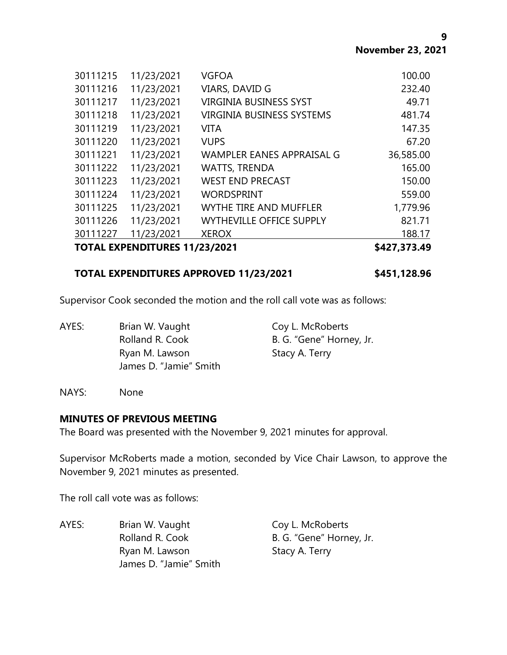**9**

| <b>TOTAL EXPENDITURES 11/23/2021</b> |            |                                  | \$427,373.49 |
|--------------------------------------|------------|----------------------------------|--------------|
| 30111227                             | 11/23/2021 | <b>XEROX</b>                     | 188.17       |
| 30111226                             | 11/23/2021 | <b>WYTHEVILLE OFFICE SUPPLY</b>  | 821.71       |
| 30111225                             | 11/23/2021 | <b>WYTHE TIRE AND MUFFLER</b>    | 1,779.96     |
| 30111224                             | 11/23/2021 | <b>WORDSPRINT</b>                | 559.00       |
| 30111223                             | 11/23/2021 | <b>WEST END PRECAST</b>          | 150.00       |
| 30111222                             | 11/23/2021 | <b>WATTS, TRENDA</b>             | 165.00       |
| 30111221                             | 11/23/2021 | <b>WAMPLER EANES APPRAISAL G</b> | 36,585.00    |
| 30111220                             | 11/23/2021 | <b>VUPS</b>                      | 67.20        |
| 30111219                             | 11/23/2021 | VITA                             | 147.35       |
| 30111218                             | 11/23/2021 | <b>VIRGINIA BUSINESS SYSTEMS</b> | 481.74       |
| 30111217                             | 11/23/2021 | <b>VIRGINIA BUSINESS SYST</b>    | 49.71        |
| 30111216                             | 11/23/2021 | VIARS, DAVID G                   | 232.40       |
| 30111215                             | 11/23/2021 | <b>VGFOA</b>                     | 100.00       |

### **TOTAL EXPENDITURES APPROVED 11/23/2021 \$451,128.96**

Supervisor Cook seconded the motion and the roll call vote was as follows:

| AYES: | Brian W. Vaught        | Coy L. McRoberts         |
|-------|------------------------|--------------------------|
|       | Rolland R. Cook        | B. G. "Gene" Horney, Jr. |
|       | Ryan M. Lawson         | Stacy A. Terry           |
|       | James D. "Jamie" Smith |                          |

NAYS: None

#### **MINUTES OF PREVIOUS MEETING**

The Board was presented with the November 9, 2021 minutes for approval.

Supervisor McRoberts made a motion, seconded by Vice Chair Lawson, to approve the November 9, 2021 minutes as presented.

The roll call vote was as follows:

AYES: Brian W. Vaught Coy L. McRoberts Rolland R. Cook B. G. "Gene" Horney, Jr. Ryan M. Lawson Stacy A. Terry James D. "Jamie" Smith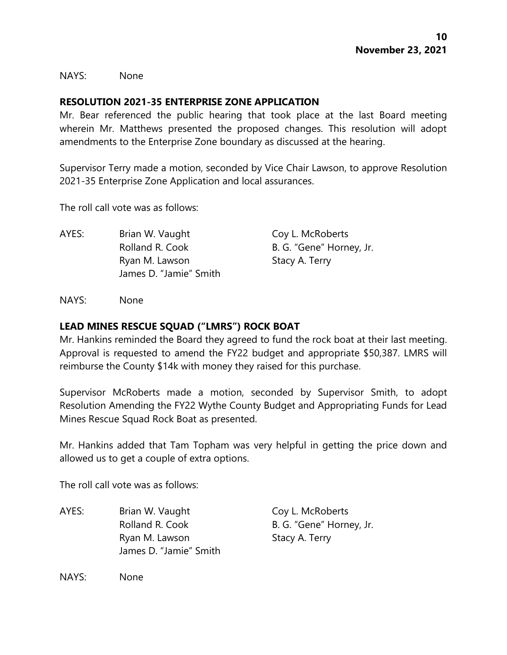NAYS: None

### **RESOLUTION 2021-35 ENTERPRISE ZONE APPLICATION**

Mr. Bear referenced the public hearing that took place at the last Board meeting wherein Mr. Matthews presented the proposed changes. This resolution will adopt amendments to the Enterprise Zone boundary as discussed at the hearing.

Supervisor Terry made a motion, seconded by Vice Chair Lawson, to approve Resolution 2021-35 Enterprise Zone Application and local assurances.

The roll call vote was as follows:

AYES: Brian W. Vaught Coy L. McRoberts Rolland R. Cook B. G. "Gene" Horney, Jr. Ryan M. Lawson Stacy A. Terry James D. "Jamie" Smith

NAYS: None

### **LEAD MINES RESCUE SQUAD ("LMRS") ROCK BOAT**

Mr. Hankins reminded the Board they agreed to fund the rock boat at their last meeting. Approval is requested to amend the FY22 budget and appropriate \$50,387. LMRS will reimburse the County \$14k with money they raised for this purchase.

Supervisor McRoberts made a motion, seconded by Supervisor Smith, to adopt Resolution Amending the FY22 Wythe County Budget and Appropriating Funds for Lead Mines Rescue Squad Rock Boat as presented.

Mr. Hankins added that Tam Topham was very helpful in getting the price down and allowed us to get a couple of extra options.

The roll call vote was as follows:

AYES: Brian W. Vaught Coy L. McRoberts Rolland R. Cook B. G. "Gene" Horney, Jr. Ryan M. Lawson Stacy A. Terry James D. "Jamie" Smith

NAYS: None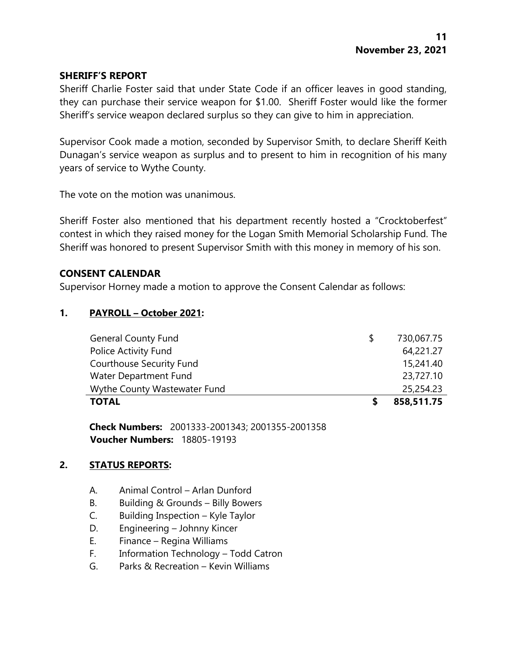### **SHERIFF'S REPORT**

Sheriff Charlie Foster said that under State Code if an officer leaves in good standing, they can purchase their service weapon for \$1.00. Sheriff Foster would like the former Sheriff's service weapon declared surplus so they can give to him in appreciation.

Supervisor Cook made a motion, seconded by Supervisor Smith, to declare Sheriff Keith Dunagan's service weapon as surplus and to present to him in recognition of his many years of service to Wythe County.

The vote on the motion was unanimous.

Sheriff Foster also mentioned that his department recently hosted a "Crocktoberfest" contest in which they raised money for the Logan Smith Memorial Scholarship Fund. The Sheriff was honored to present Supervisor Smith with this money in memory of his son.

### **CONSENT CALENDAR**

Supervisor Horney made a motion to approve the Consent Calendar as follows:

## **1. PAYROLL – October 2021:**

| <b>TOTAL</b>                    | 858,511.75 |
|---------------------------------|------------|
| Wythe County Wastewater Fund    | 25,254.23  |
| Water Department Fund           | 23,727.10  |
| <b>Courthouse Security Fund</b> | 15,241.40  |
| Police Activity Fund            | 64,221.27  |
| <b>General County Fund</b>      | 730,067.75 |

**Check Numbers:** 2001333-2001343; 2001355-2001358 **Voucher Numbers:** 18805-19193

#### **2. STATUS REPORTS:**

- A. Animal Control Arlan Dunford
- B. Building & Grounds Billy Bowers
- C. Building Inspection Kyle Taylor
- D. Engineering Johnny Kincer
- E. Finance Regina Williams
- F. Information Technology Todd Catron
- G. Parks & Recreation Kevin Williams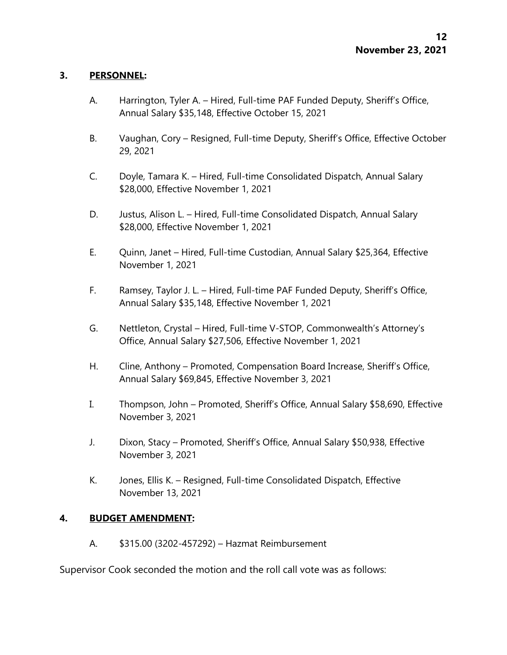### **3. PERSONNEL:**

- A. Harrington, Tyler A. Hired, Full-time PAF Funded Deputy, Sheriff's Office, Annual Salary \$35,148, Effective October 15, 2021
- B. Vaughan, Cory Resigned, Full-time Deputy, Sheriff's Office, Effective October 29, 2021
- C. Doyle, Tamara K. Hired, Full-time Consolidated Dispatch, Annual Salary \$28,000, Effective November 1, 2021
- D. Justus, Alison L. Hired, Full-time Consolidated Dispatch, Annual Salary \$28,000, Effective November 1, 2021
- E. Quinn, Janet Hired, Full-time Custodian, Annual Salary \$25,364, Effective November 1, 2021
- F. Ramsey, Taylor J. L. Hired, Full-time PAF Funded Deputy, Sheriff's Office, Annual Salary \$35,148, Effective November 1, 2021
- G. Nettleton, Crystal Hired, Full-time V-STOP, Commonwealth's Attorney's Office, Annual Salary \$27,506, Effective November 1, 2021
- H. Cline, Anthony Promoted, Compensation Board Increase, Sheriff's Office, Annual Salary \$69,845, Effective November 3, 2021
- I. Thompson, John Promoted, Sheriff's Office, Annual Salary \$58,690, Effective November 3, 2021
- J. Dixon, Stacy Promoted, Sheriff's Office, Annual Salary \$50,938, Effective November 3, 2021
- K. Jones, Ellis K. Resigned, Full-time Consolidated Dispatch, Effective November 13, 2021

## **4. BUDGET AMENDMENT:**

A. \$315.00 (3202-457292) – Hazmat Reimbursement

Supervisor Cook seconded the motion and the roll call vote was as follows: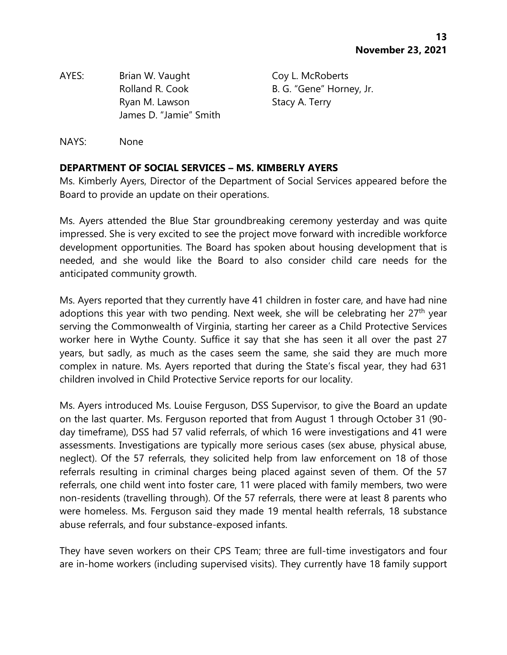AYES: Brian W. Vaught Coy L. McRoberts Rolland R. Cook B. G. "Gene" Horney, Jr. Ryan M. Lawson Stacy A. Terry James D. "Jamie" Smith

NAYS: None

## **DEPARTMENT OF SOCIAL SERVICES – MS. KIMBERLY AYERS**

Ms. Kimberly Ayers, Director of the Department of Social Services appeared before the Board to provide an update on their operations.

Ms. Ayers attended the Blue Star groundbreaking ceremony yesterday and was quite impressed. She is very excited to see the project move forward with incredible workforce development opportunities. The Board has spoken about housing development that is needed, and she would like the Board to also consider child care needs for the anticipated community growth.

Ms. Ayers reported that they currently have 41 children in foster care, and have had nine adoptions this year with two pending. Next week, she will be celebrating her 27<sup>th</sup> year serving the Commonwealth of Virginia, starting her career as a Child Protective Services worker here in Wythe County. Suffice it say that she has seen it all over the past 27 years, but sadly, as much as the cases seem the same, she said they are much more complex in nature. Ms. Ayers reported that during the State's fiscal year, they had 631 children involved in Child Protective Service reports for our locality.

Ms. Ayers introduced Ms. Louise Ferguson, DSS Supervisor, to give the Board an update on the last quarter. Ms. Ferguson reported that from August 1 through October 31 (90 day timeframe), DSS had 57 valid referrals, of which 16 were investigations and 41 were assessments. Investigations are typically more serious cases (sex abuse, physical abuse, neglect). Of the 57 referrals, they solicited help from law enforcement on 18 of those referrals resulting in criminal charges being placed against seven of them. Of the 57 referrals, one child went into foster care, 11 were placed with family members, two were non-residents (travelling through). Of the 57 referrals, there were at least 8 parents who were homeless. Ms. Ferguson said they made 19 mental health referrals, 18 substance abuse referrals, and four substance-exposed infants.

They have seven workers on their CPS Team; three are full-time investigators and four are in-home workers (including supervised visits). They currently have 18 family support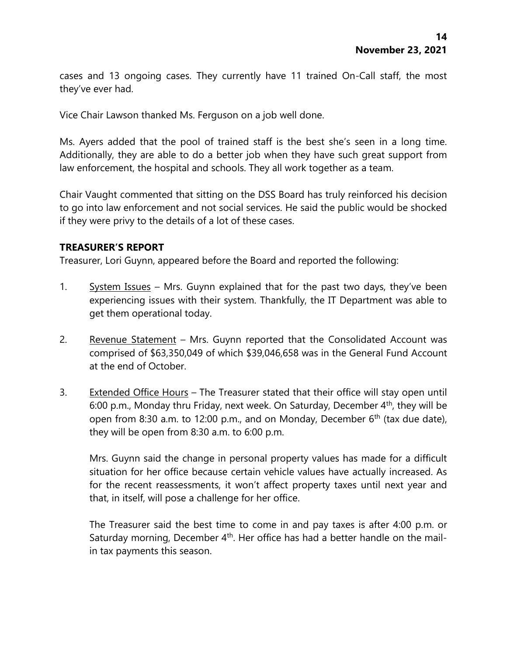cases and 13 ongoing cases. They currently have 11 trained On-Call staff, the most they've ever had.

Vice Chair Lawson thanked Ms. Ferguson on a job well done.

Ms. Ayers added that the pool of trained staff is the best she's seen in a long time. Additionally, they are able to do a better job when they have such great support from law enforcement, the hospital and schools. They all work together as a team.

Chair Vaught commented that sitting on the DSS Board has truly reinforced his decision to go into law enforcement and not social services. He said the public would be shocked if they were privy to the details of a lot of these cases.

## **TREASURER'S REPORT**

Treasurer, Lori Guynn, appeared before the Board and reported the following:

- 1. System Issues Mrs. Guynn explained that for the past two days, they've been experiencing issues with their system. Thankfully, the IT Department was able to get them operational today.
- 2. Revenue Statement Mrs. Guynn reported that the Consolidated Account was comprised of \$63,350,049 of which \$39,046,658 was in the General Fund Account at the end of October.
- 3. Extended Office Hours The Treasurer stated that their office will stay open until 6:00 p.m., Monday thru Friday, next week. On Saturday, December  $4<sup>th</sup>$ , they will be open from 8:30 a.m. to 12:00 p.m., and on Monday, December  $6<sup>th</sup>$  (tax due date), they will be open from 8:30 a.m. to 6:00 p.m.

Mrs. Guynn said the change in personal property values has made for a difficult situation for her office because certain vehicle values have actually increased. As for the recent reassessments, it won't affect property taxes until next year and that, in itself, will pose a challenge for her office.

The Treasurer said the best time to come in and pay taxes is after 4:00 p.m. or Saturday morning, December 4<sup>th</sup>. Her office has had a better handle on the mailin tax payments this season.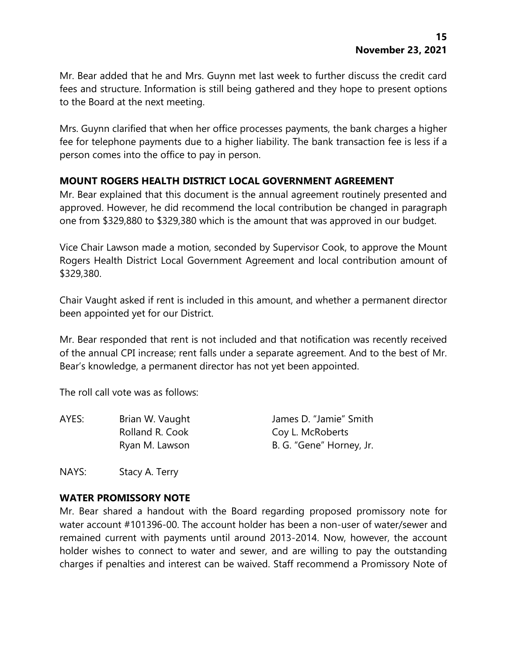Mr. Bear added that he and Mrs. Guynn met last week to further discuss the credit card fees and structure. Information is still being gathered and they hope to present options to the Board at the next meeting.

Mrs. Guynn clarified that when her office processes payments, the bank charges a higher fee for telephone payments due to a higher liability. The bank transaction fee is less if a person comes into the office to pay in person.

## **MOUNT ROGERS HEALTH DISTRICT LOCAL GOVERNMENT AGREEMENT**

Mr. Bear explained that this document is the annual agreement routinely presented and approved. However, he did recommend the local contribution be changed in paragraph one from \$329,880 to \$329,380 which is the amount that was approved in our budget.

Vice Chair Lawson made a motion, seconded by Supervisor Cook, to approve the Mount Rogers Health District Local Government Agreement and local contribution amount of \$329,380.

Chair Vaught asked if rent is included in this amount, and whether a permanent director been appointed yet for our District.

Mr. Bear responded that rent is not included and that notification was recently received of the annual CPI increase; rent falls under a separate agreement. And to the best of Mr. Bear's knowledge, a permanent director has not yet been appointed.

The roll call vote was as follows:

| AYES: | Brian W. Vaught | James D. "Jamie" Smith   |
|-------|-----------------|--------------------------|
|       | Rolland R. Cook | Coy L. McRoberts         |
|       | Ryan M. Lawson  | B. G. "Gene" Horney, Jr. |

NAYS: Stacy A. Terry

## **WATER PROMISSORY NOTE**

Mr. Bear shared a handout with the Board regarding proposed promissory note for water account #101396-00. The account holder has been a non-user of water/sewer and remained current with payments until around 2013-2014. Now, however, the account holder wishes to connect to water and sewer, and are willing to pay the outstanding charges if penalties and interest can be waived. Staff recommend a Promissory Note of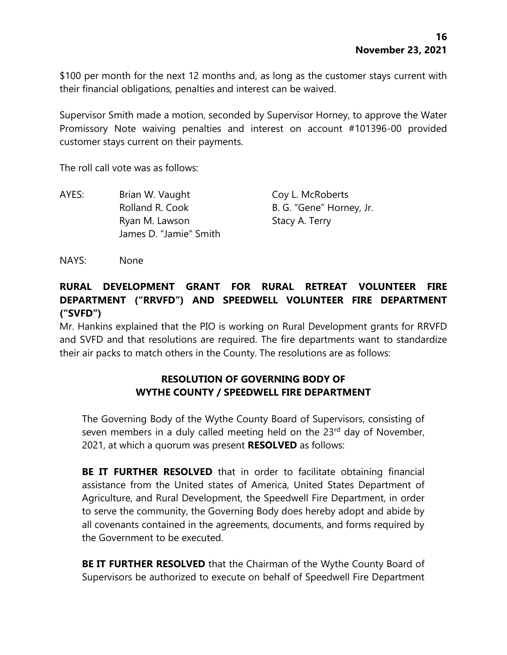\$100 per month for the next 12 months and, as long as the customer stays current with their financial obligations, penalties and interest can be waived.

Supervisor Smith made a motion, seconded by Supervisor Horney, to approve the Water Promissory Note waiving penalties and interest on account #101396-00 provided customer stays current on their payments.

The roll call vote was as follows:

| AYES: | Brian W. Vaught        | Coy L. McRoberts         |
|-------|------------------------|--------------------------|
|       | Rolland R. Cook        | B. G. "Gene" Horney, Jr. |
|       | Ryan M. Lawson         | Stacy A. Terry           |
|       | James D. "Jamie" Smith |                          |

NAYS: None

# **RURAL DEVELOPMENT GRANT FOR RURAL RETREAT VOLUNTEER FIRE DEPARTMENT ("RRVFD") AND SPEEDWELL VOLUNTEER FIRE DEPARTMENT ("SVFD")**

Mr. Hankins explained that the PIO is working on Rural Development grants for RRVFD and SVFD and that resolutions are required. The fire departments want to standardize their air packs to match others in the County. The resolutions are as follows:

## **RESOLUTION OF GOVERNING BODY OF WYTHE COUNTY / SPEEDWELL FIRE DEPARTMENT**

The Governing Body of the Wythe County Board of Supervisors, consisting of seven members in a duly called meeting held on the 23<sup>rd</sup> day of November, 2021, at which a quorum was present **RESOLVED** as follows:

**BE IT FURTHER RESOLVED** that in order to facilitate obtaining financial assistance from the United states of America, United States Department of Agriculture, and Rural Development, the Speedwell Fire Department, in order to serve the community, the Governing Body does hereby adopt and abide by all covenants contained in the agreements, documents, and forms required by the Government to be executed.

**BE IT FURTHER RESOLVED** that the Chairman of the Wythe County Board of Supervisors be authorized to execute on behalf of Speedwell Fire Department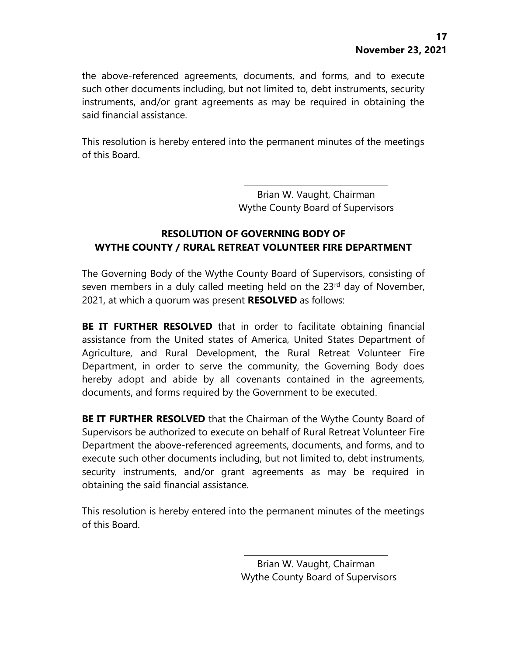the above-referenced agreements, documents, and forms, and to execute such other documents including, but not limited to, debt instruments, security instruments, and/or grant agreements as may be required in obtaining the said financial assistance.

This resolution is hereby entered into the permanent minutes of the meetings of this Board.

> Brian W. Vaught, Chairman Wythe County Board of Supervisors

# **RESOLUTION OF GOVERNING BODY OF WYTHE COUNTY / RURAL RETREAT VOLUNTEER FIRE DEPARTMENT**

The Governing Body of the Wythe County Board of Supervisors, consisting of seven members in a duly called meeting held on the 23<sup>rd</sup> day of November, 2021, at which a quorum was present **RESOLVED** as follows:

**BE IT FURTHER RESOLVED** that in order to facilitate obtaining financial assistance from the United states of America, United States Department of Agriculture, and Rural Development, the Rural Retreat Volunteer Fire Department, in order to serve the community, the Governing Body does hereby adopt and abide by all covenants contained in the agreements, documents, and forms required by the Government to be executed.

**BE IT FURTHER RESOLVED** that the Chairman of the Wythe County Board of Supervisors be authorized to execute on behalf of Rural Retreat Volunteer Fire Department the above-referenced agreements, documents, and forms, and to execute such other documents including, but not limited to, debt instruments, security instruments, and/or grant agreements as may be required in obtaining the said financial assistance.

This resolution is hereby entered into the permanent minutes of the meetings of this Board.

> Brian W. Vaught, Chairman Wythe County Board of Supervisors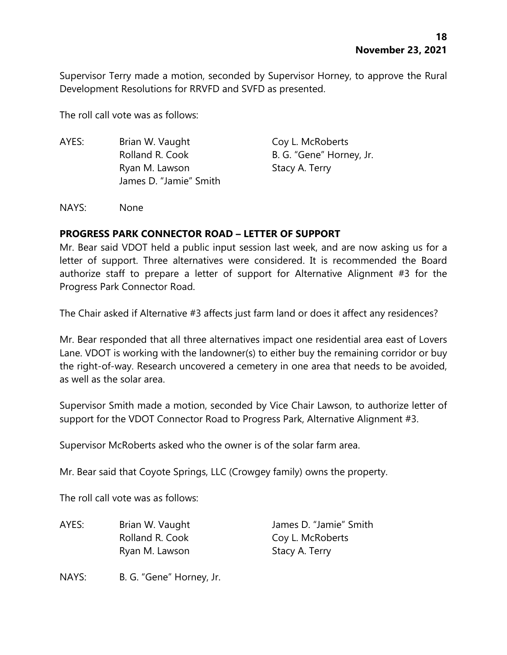Supervisor Terry made a motion, seconded by Supervisor Horney, to approve the Rural Development Resolutions for RRVFD and SVFD as presented.

The roll call vote was as follows:

AYES: Brian W. Vaught Coy L. McRoberts Rolland R. Cook B. G. "Gene" Horney, Jr. Ryan M. Lawson Stacy A. Terry James D. "Jamie" Smith

NAYS: None

# **PROGRESS PARK CONNECTOR ROAD – LETTER OF SUPPORT**

Mr. Bear said VDOT held a public input session last week, and are now asking us for a letter of support. Three alternatives were considered. It is recommended the Board authorize staff to prepare a letter of support for Alternative Alignment #3 for the Progress Park Connector Road.

The Chair asked if Alternative #3 affects just farm land or does it affect any residences?

Mr. Bear responded that all three alternatives impact one residential area east of Lovers Lane. VDOT is working with the landowner(s) to either buy the remaining corridor or buy the right-of-way. Research uncovered a cemetery in one area that needs to be avoided, as well as the solar area.

Supervisor Smith made a motion, seconded by Vice Chair Lawson, to authorize letter of support for the VDOT Connector Road to Progress Park, Alternative Alignment #3.

Supervisor McRoberts asked who the owner is of the solar farm area.

Mr. Bear said that Coyote Springs, LLC (Crowgey family) owns the property.

The roll call vote was as follows:

AYES: Brian W. Vaught James D. "Jamie" Smith Rolland R. Cook Coy L. McRoberts Ryan M. Lawson Stacy A. Terry

NAYS: B. G. "Gene" Horney, Jr.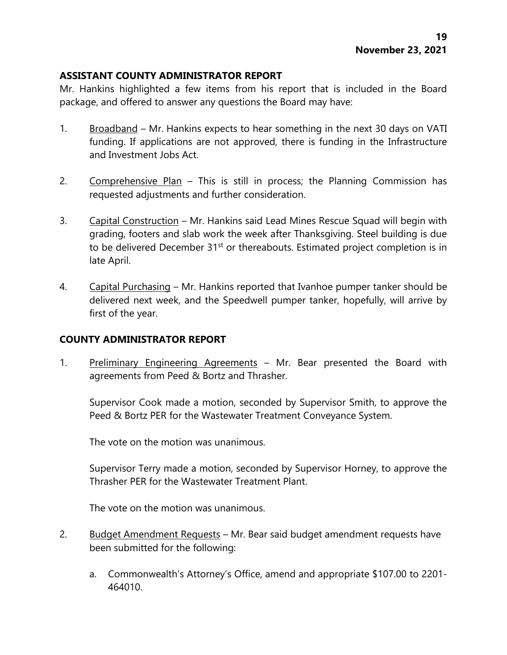## **ASSISTANT COUNTY ADMINISTRATOR REPORT**

Mr. Hankins highlighted a few items from his report that is included in the Board package, and offered to answer any questions the Board may have:

- 1. Broadband Mr. Hankins expects to hear something in the next 30 days on VATI funding. If applications are not approved, there is funding in the Infrastructure and Investment Jobs Act.
- 2. Comprehensive Plan This is still in process; the Planning Commission has requested adjustments and further consideration.
- 3. Capital Construction Mr. Hankins said Lead Mines Rescue Squad will begin with grading, footers and slab work the week after Thanksgiving. Steel building is due to be delivered December 31<sup>st</sup> or thereabouts. Estimated project completion is in late April.
- 4. Capital Purchasing Mr. Hankins reported that Ivanhoe pumper tanker should be delivered next week, and the Speedwell pumper tanker, hopefully, will arrive by first of the year.

## **COUNTY ADMINISTRATOR REPORT**

1. Preliminary Engineering Agreements - Mr. Bear presented the Board with agreements from Peed & Bortz and Thrasher.

Supervisor Cook made a motion, seconded by Supervisor Smith, to approve the Peed & Bortz PER for the Wastewater Treatment Conveyance System.

The vote on the motion was unanimous.

Supervisor Terry made a motion, seconded by Supervisor Horney, to approve the Thrasher PER for the Wastewater Treatment Plant.

The vote on the motion was unanimous.

- 2. Budget Amendment Requests Mr. Bear said budget amendment requests have been submitted for the following:
	- a. Commonwealth's Attorney's Office, amend and appropriate \$107.00 to 2201- 464010.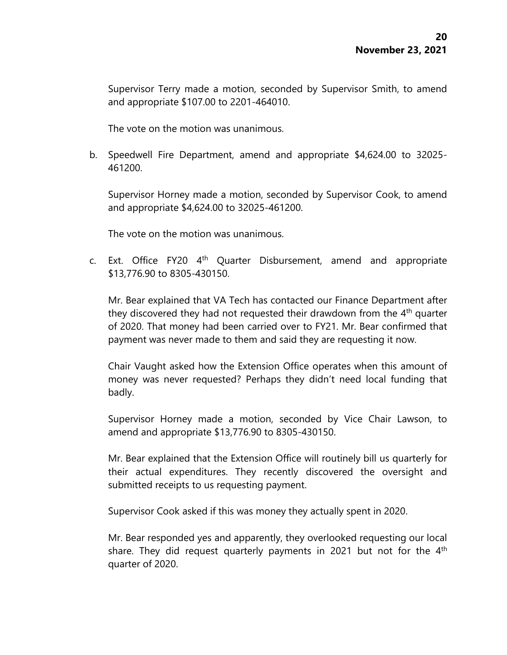Supervisor Terry made a motion, seconded by Supervisor Smith, to amend and appropriate \$107.00 to 2201-464010.

The vote on the motion was unanimous.

b. Speedwell Fire Department, amend and appropriate \$4,624.00 to 32025- 461200.

Supervisor Horney made a motion, seconded by Supervisor Cook, to amend and appropriate \$4,624.00 to 32025-461200.

The vote on the motion was unanimous.

c. Ext. Office FY20 4<sup>th</sup> Quarter Disbursement, amend and appropriate \$13,776.90 to 8305-430150.

Mr. Bear explained that VA Tech has contacted our Finance Department after they discovered they had not requested their drawdown from the 4<sup>th</sup> quarter of 2020. That money had been carried over to FY21. Mr. Bear confirmed that payment was never made to them and said they are requesting it now.

Chair Vaught asked how the Extension Office operates when this amount of money was never requested? Perhaps they didn't need local funding that badly.

Supervisor Horney made a motion, seconded by Vice Chair Lawson, to amend and appropriate \$13,776.90 to 8305-430150.

Mr. Bear explained that the Extension Office will routinely bill us quarterly for their actual expenditures. They recently discovered the oversight and submitted receipts to us requesting payment.

Supervisor Cook asked if this was money they actually spent in 2020.

Mr. Bear responded yes and apparently, they overlooked requesting our local share. They did request quarterly payments in 2021 but not for the 4<sup>th</sup> quarter of 2020.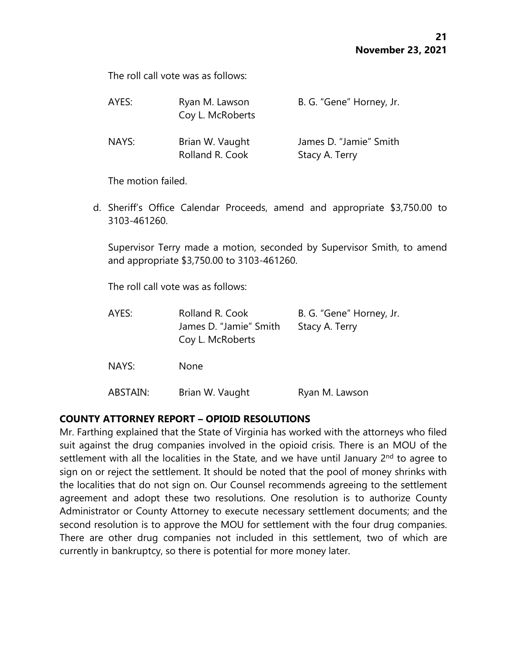The roll call vote was as follows:

| AYES: | Ryan M. Lawson<br>Coy L. McRoberts | B. G. "Gene" Horney, Jr.                 |
|-------|------------------------------------|------------------------------------------|
| NAYS: | Brian W. Vaught<br>Rolland R. Cook | James D. "Jamie" Smith<br>Stacy A. Terry |

The motion failed.

d. Sheriff's Office Calendar Proceeds, amend and appropriate \$3,750.00 to 3103-461260.

Supervisor Terry made a motion, seconded by Supervisor Smith, to amend and appropriate \$3,750.00 to 3103-461260.

The roll call vote was as follows:

| AYES:    | Rolland R. Cook<br>James D. "Jamie" Smith<br>Coy L. McRoberts | B. G. "Gene" Horney, Jr.<br>Stacy A. Terry |
|----------|---------------------------------------------------------------|--------------------------------------------|
| NAYS:    | <b>None</b>                                                   |                                            |
| ABSTAIN: | Brian W. Vaught                                               | Ryan M. Lawson                             |

## **COUNTY ATTORNEY REPORT – OPIOID RESOLUTIONS**

Mr. Farthing explained that the State of Virginia has worked with the attorneys who filed suit against the drug companies involved in the opioid crisis. There is an MOU of the settlement with all the localities in the State, and we have until January  $2<sup>nd</sup>$  to agree to sign on or reject the settlement. It should be noted that the pool of money shrinks with the localities that do not sign on. Our Counsel recommends agreeing to the settlement agreement and adopt these two resolutions. One resolution is to authorize County Administrator or County Attorney to execute necessary settlement documents; and the second resolution is to approve the MOU for settlement with the four drug companies. There are other drug companies not included in this settlement, two of which are currently in bankruptcy, so there is potential for more money later.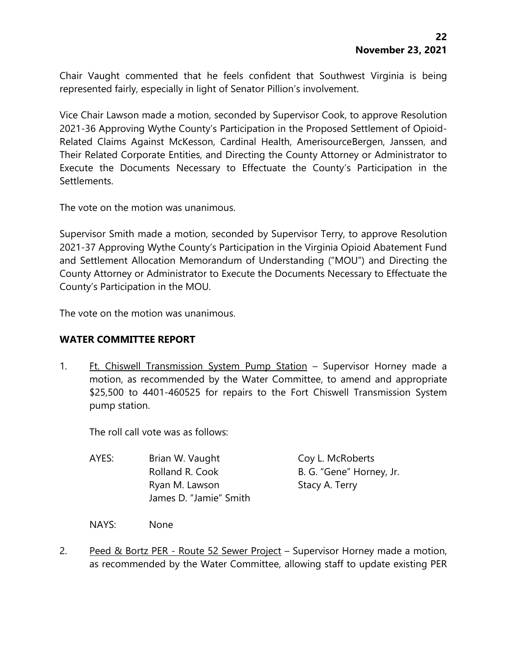Chair Vaught commented that he feels confident that Southwest Virginia is being represented fairly, especially in light of Senator Pillion's involvement.

Vice Chair Lawson made a motion, seconded by Supervisor Cook, to approve Resolution 2021-36 Approving Wythe County's Participation in the Proposed Settlement of Opioid-Related Claims Against McKesson, Cardinal Health, AmerisourceBergen, Janssen, and Their Related Corporate Entities, and Directing the County Attorney or Administrator to Execute the Documents Necessary to Effectuate the County's Participation in the Settlements.

The vote on the motion was unanimous.

Supervisor Smith made a motion, seconded by Supervisor Terry, to approve Resolution 2021-37 Approving Wythe County's Participation in the Virginia Opioid Abatement Fund and Settlement Allocation Memorandum of Understanding ("MOU") and Directing the County Attorney or Administrator to Execute the Documents Necessary to Effectuate the County's Participation in the MOU.

The vote on the motion was unanimous.

#### **WATER COMMITTEE REPORT**

1. Ft. Chiswell Transmission System Pump Station - Supervisor Horney made a motion, as recommended by the Water Committee, to amend and appropriate \$25,500 to 4401-460525 for repairs to the Fort Chiswell Transmission System pump station.

The roll call vote was as follows:

| AYES: | Brian W. Vaught        | Coy L. McRoberts         |
|-------|------------------------|--------------------------|
|       | Rolland R. Cook        | B. G. "Gene" Horney, Jr. |
|       | Ryan M. Lawson         | Stacy A. Terry           |
|       | James D. "Jamie" Smith |                          |

NAYS: None

2. Peed & Bortz PER - Route 52 Sewer Project – Supervisor Horney made a motion, as recommended by the Water Committee, allowing staff to update existing PER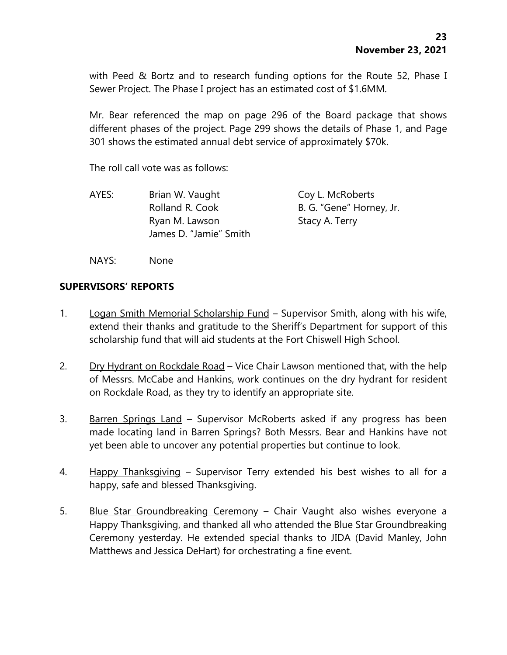with Peed & Bortz and to research funding options for the Route 52, Phase I Sewer Project. The Phase I project has an estimated cost of \$1.6MM.

Mr. Bear referenced the map on page 296 of the Board package that shows different phases of the project. Page 299 shows the details of Phase 1, and Page 301 shows the estimated annual debt service of approximately \$70k.

The roll call vote was as follows:

AYES: Brian W. Vaught Coy L. McRoberts Rolland R. Cook B. G. "Gene" Horney, Jr. Ryan M. Lawson Stacy A. Terry James D. "Jamie" Smith

NAYS: None

### **SUPERVISORS' REPORTS**

- 1. Logan Smith Memorial Scholarship Fund Supervisor Smith, along with his wife, extend their thanks and gratitude to the Sheriff's Department for support of this scholarship fund that will aid students at the Fort Chiswell High School.
- 2. Dry Hydrant on Rockdale Road Vice Chair Lawson mentioned that, with the help of Messrs. McCabe and Hankins, work continues on the dry hydrant for resident on Rockdale Road, as they try to identify an appropriate site.
- 3. Barren Springs Land Supervisor McRoberts asked if any progress has been made locating land in Barren Springs? Both Messrs. Bear and Hankins have not yet been able to uncover any potential properties but continue to look.
- 4. Happy Thanksgiving Supervisor Terry extended his best wishes to all for a happy, safe and blessed Thanksgiving.
- 5. Blue Star Groundbreaking Ceremony Chair Vaught also wishes everyone a Happy Thanksgiving, and thanked all who attended the Blue Star Groundbreaking Ceremony yesterday. He extended special thanks to JIDA (David Manley, John Matthews and Jessica DeHart) for orchestrating a fine event.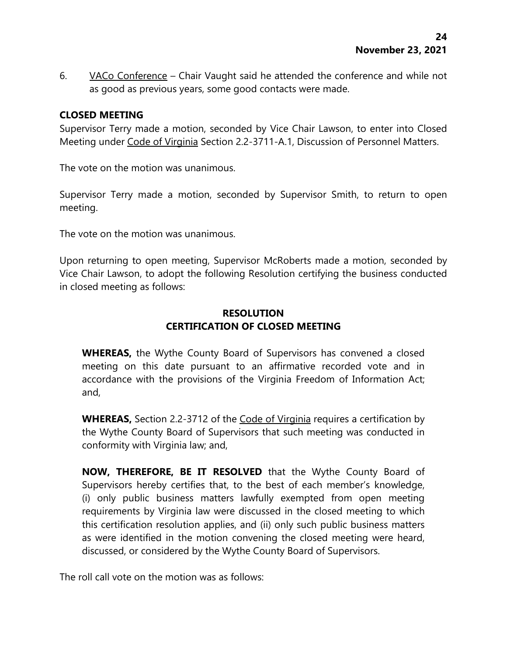6. VACo Conference – Chair Vaught said he attended the conference and while not as good as previous years, some good contacts were made.

## **CLOSED MEETING**

Supervisor Terry made a motion, seconded by Vice Chair Lawson, to enter into Closed Meeting under Code of Virginia Section 2.2-3711-A.1, Discussion of Personnel Matters.

The vote on the motion was unanimous.

Supervisor Terry made a motion, seconded by Supervisor Smith, to return to open meeting.

The vote on the motion was unanimous.

Upon returning to open meeting, Supervisor McRoberts made a motion, seconded by Vice Chair Lawson, to adopt the following Resolution certifying the business conducted in closed meeting as follows:

# **RESOLUTION CERTIFICATION OF CLOSED MEETING**

**WHEREAS,** the Wythe County Board of Supervisors has convened a closed meeting on this date pursuant to an affirmative recorded vote and in accordance with the provisions of the Virginia Freedom of Information Act; and,

**WHEREAS,** Section 2.2-3712 of the Code of Virginia requires a certification by the Wythe County Board of Supervisors that such meeting was conducted in conformity with Virginia law; and,

**NOW, THEREFORE, BE IT RESOLVED** that the Wythe County Board of Supervisors hereby certifies that, to the best of each member's knowledge, (i) only public business matters lawfully exempted from open meeting requirements by Virginia law were discussed in the closed meeting to which this certification resolution applies, and (ii) only such public business matters as were identified in the motion convening the closed meeting were heard, discussed, or considered by the Wythe County Board of Supervisors.

The roll call vote on the motion was as follows: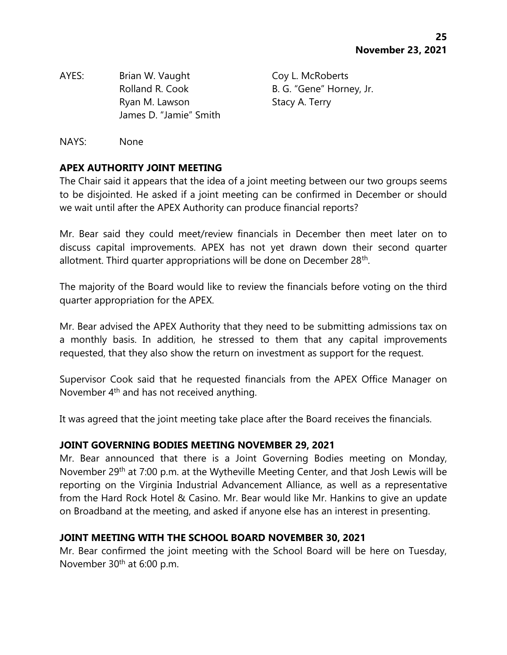AYES: Brian W. Vaught Coy L. McRoberts Rolland R. Cook B. G. "Gene" Horney, Jr. Ryan M. Lawson Stacy A. Terry James D. "Jamie" Smith

NAYS: None

# **APEX AUTHORITY JOINT MEETING**

The Chair said it appears that the idea of a joint meeting between our two groups seems to be disjointed. He asked if a joint meeting can be confirmed in December or should we wait until after the APEX Authority can produce financial reports?

Mr. Bear said they could meet/review financials in December then meet later on to discuss capital improvements. APEX has not yet drawn down their second quarter allotment. Third quarter appropriations will be done on December 28<sup>th</sup>.

The majority of the Board would like to review the financials before voting on the third quarter appropriation for the APEX.

Mr. Bear advised the APEX Authority that they need to be submitting admissions tax on a monthly basis. In addition, he stressed to them that any capital improvements requested, that they also show the return on investment as support for the request.

Supervisor Cook said that he requested financials from the APEX Office Manager on November 4th and has not received anything.

It was agreed that the joint meeting take place after the Board receives the financials.

## **JOINT GOVERNING BODIES MEETING NOVEMBER 29, 2021**

Mr. Bear announced that there is a Joint Governing Bodies meeting on Monday, November 29<sup>th</sup> at 7:00 p.m. at the Wytheville Meeting Center, and that Josh Lewis will be reporting on the Virginia Industrial Advancement Alliance, as well as a representative from the Hard Rock Hotel & Casino. Mr. Bear would like Mr. Hankins to give an update on Broadband at the meeting, and asked if anyone else has an interest in presenting.

## **JOINT MEETING WITH THE SCHOOL BOARD NOVEMBER 30, 2021**

Mr. Bear confirmed the joint meeting with the School Board will be here on Tuesday, November 30<sup>th</sup> at 6:00 p.m.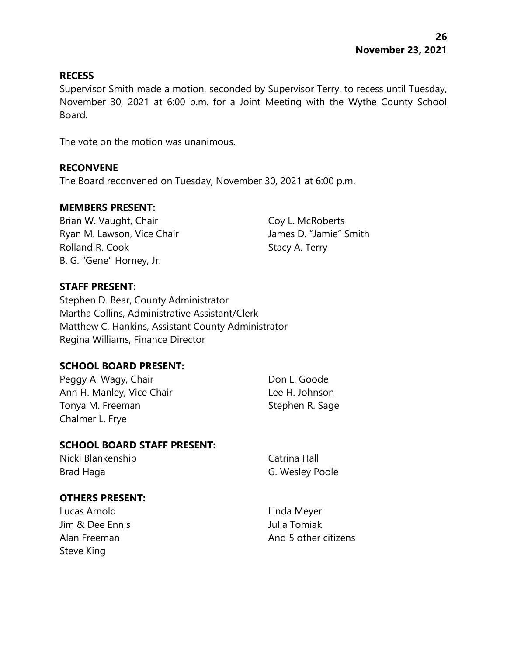### **RECESS**

Supervisor Smith made a motion, seconded by Supervisor Terry, to recess until Tuesday, November 30, 2021 at 6:00 p.m. for a Joint Meeting with the Wythe County School Board.

The vote on the motion was unanimous.

### **RECONVENE**

The Board reconvened on Tuesday, November 30, 2021 at 6:00 p.m.

#### **MEMBERS PRESENT:**

Brian W. Vaught, Chair Coy L. McRoberts Ryan M. Lawson, Vice Chair **James D. "Jamie"** Smith Rolland R. Cook Stacy A. Terry B. G. "Gene" Horney, Jr.

### **STAFF PRESENT:**

Stephen D. Bear, County Administrator Martha Collins, Administrative Assistant/Clerk Matthew C. Hankins, Assistant County Administrator Regina Williams, Finance Director

## **SCHOOL BOARD PRESENT:**

Peggy A. Wagy, Chair **Don L. Goode** Ann H. Manley, Vice Chair **Lee H. Johnson** Tonya M. Freeman Stephen R. Sage Chalmer L. Frye

## **SCHOOL BOARD STAFF PRESENT:**

Nicki Blankenship Catrina Hall Brad Haga G. Wesley Poole

# **OTHERS PRESENT:**

Lucas Arnold Linda Meyer Jim & Dee Ennis Julia Tomiak Steve King

Alan Freeman And 5 other citizens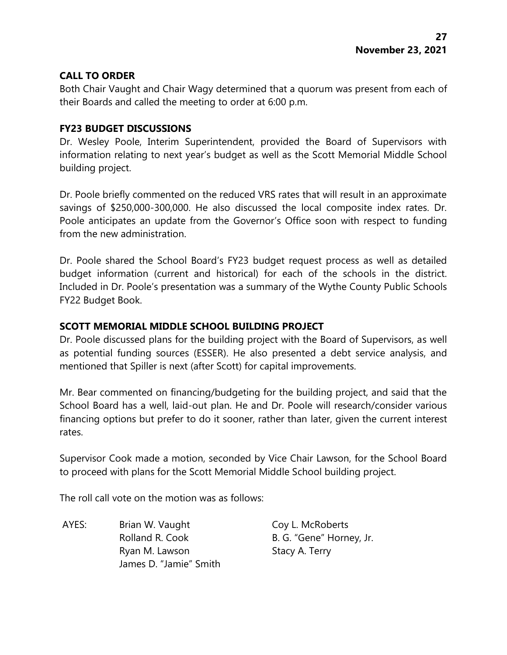## **CALL TO ORDER**

Both Chair Vaught and Chair Wagy determined that a quorum was present from each of their Boards and called the meeting to order at 6:00 p.m.

### **FY23 BUDGET DISCUSSIONS**

Dr. Wesley Poole, Interim Superintendent, provided the Board of Supervisors with information relating to next year's budget as well as the Scott Memorial Middle School building project.

Dr. Poole briefly commented on the reduced VRS rates that will result in an approximate savings of \$250,000-300,000. He also discussed the local composite index rates. Dr. Poole anticipates an update from the Governor's Office soon with respect to funding from the new administration.

Dr. Poole shared the School Board's FY23 budget request process as well as detailed budget information (current and historical) for each of the schools in the district. Included in Dr. Poole's presentation was a summary of the Wythe County Public Schools FY22 Budget Book.

## **SCOTT MEMORIAL MIDDLE SCHOOL BUILDING PROJECT**

Dr. Poole discussed plans for the building project with the Board of Supervisors, as well as potential funding sources (ESSER). He also presented a debt service analysis, and mentioned that Spiller is next (after Scott) for capital improvements.

Mr. Bear commented on financing/budgeting for the building project, and said that the School Board has a well, laid-out plan. He and Dr. Poole will research/consider various financing options but prefer to do it sooner, rather than later, given the current interest rates.

Supervisor Cook made a motion, seconded by Vice Chair Lawson, for the School Board to proceed with plans for the Scott Memorial Middle School building project.

The roll call vote on the motion was as follows:

AYES: Brian W. Vaught Coy L. McRoberts Rolland R. Cook B. G. "Gene" Horney, Jr. Ryan M. Lawson Stacy A. Terry James D. "Jamie" Smith